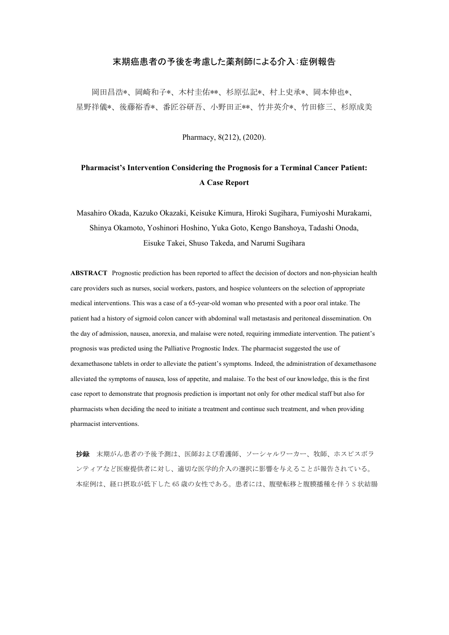## 末期癌患者の予後を考慮した薬剤師による介入:症例報告

岡田昌浩\*、岡崎和子\*、木村圭佑\*\*、杉原弘記\*、村上史承\*、岡本伸也\*、 星野祥儀\*、後藤裕香\*、番匠谷研吾、小野田正\*\*、竹井英介\*、竹田修三、杉原成美

Pharmacy, 8(212), (2020).

## **Pharmacist's Intervention Considering the Prognosis for a Terminal Cancer Patient: A Case Report**

Masahiro Okada, Kazuko Okazaki, Keisuke Kimura, Hiroki Sugihara, Fumiyoshi Murakami, Shinya Okamoto, Yoshinori Hoshino, Yuka Goto, Kengo Banshoya, Tadashi Onoda, Eisuke Takei, Shuso Takeda, and Narumi Sugihara

**ABSTRACT** Prognostic prediction has been reported to affect the decision of doctors and non-physician health care providers such as nurses, social workers, pastors, and hospice volunteers on the selection of appropriate medical interventions. This was a case of a 65-year-old woman who presented with a poor oral intake. The patient had a history of sigmoid colon cancer with abdominal wall metastasis and peritoneal dissemination. On the day of admission, nausea, anorexia, and malaise were noted, requiring immediate intervention. The patient's prognosis was predicted using the Palliative Prognostic Index. The pharmacist suggested the use of dexamethasone tablets in order to alleviate the patient's symptoms. Indeed, the administration of dexamethasone alleviated the symptoms of nausea, loss of appetite, and malaise. To the best of our knowledge, this is the first case report to demonstrate that prognosis prediction is important not only for other medical staff but also for pharmacists when deciding the need to initiate a treatment and continue such treatment, and when providing pharmacist interventions.

抄録 末期がん患者の予後予測は、医師および看護師、ソーシャルワーカー、牧師、ホスピスボラ ンティアなど医療提供者に対し、適切な医学的介入の選択に影響を与えることが報告されている。 本症例は、経口摂取が低下した 65 歳の女性である。患者には、腹壁転移と腹膜播種を伴う S 状結腸